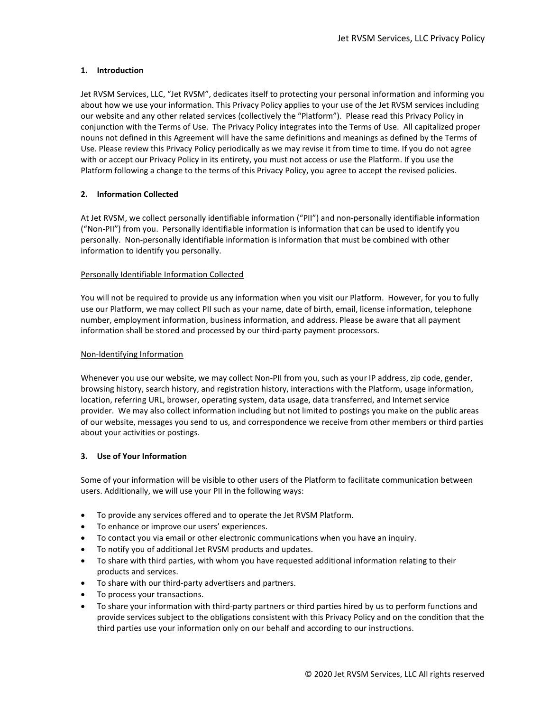## 1. Introduction

Jet RVSM Services, LLC, "Jet RVSM", dedicates itself to protecting your personal information and informing you about how we use your information. This Privacy Policy applies to your use of the Jet RVSM services including our website and any other related services (collectively the "Platform"). Please read this Privacy Policy in conjunction with the Terms of Use. The Privacy Policy integrates into the Terms of Use. All capitalized proper nouns not defined in this Agreement will have the same definitions and meanings as defined by the Terms of Use. Please review this Privacy Policy periodically as we may revise it from time to time. If you do not agree with or accept our Privacy Policy in its entirety, you must not access or use the Platform. If you use the Platform following a change to the terms of this Privacy Policy, you agree to accept the revised policies.

### 2. Information Collected

At Jet RVSM, we collect personally identifiable information ("PII") and non-personally identifiable information ("Non-PII") from you. Personally identifiable information is information that can be used to identify you personally. Non-personally identifiable information is information that must be combined with other information to identify you personally.

#### Personally Identifiable Information Collected

You will not be required to provide us any information when you visit our Platform. However, for you to fully use our Platform, we may collect PII such as your name, date of birth, email, license information, telephone number, employment information, business information, and address. Please be aware that all payment information shall be stored and processed by our third-party payment processors.

#### Non-Identifying Information

Whenever you use our website, we may collect Non-PII from you, such as your IP address, zip code, gender, browsing history, search history, and registration history, interactions with the Platform, usage information, location, referring URL, browser, operating system, data usage, data transferred, and Internet service provider. We may also collect information including but not limited to postings you make on the public areas of our website, messages you send to us, and correspondence we receive from other members or third parties about your activities or postings.

#### 3. Use of Your Information

Some of your information will be visible to other users of the Platform to facilitate communication between users. Additionally, we will use your PII in the following ways:

- To provide any services offered and to operate the Jet RVSM Platform.
- To enhance or improve our users' experiences.
- To contact you via email or other electronic communications when you have an inquiry.
- To notify you of additional Jet RVSM products and updates.
- To share with third parties, with whom you have requested additional information relating to their products and services.
- To share with our third-party advertisers and partners.
- To process your transactions.
- To share your information with third-party partners or third parties hired by us to perform functions and provide services subject to the obligations consistent with this Privacy Policy and on the condition that the third parties use your information only on our behalf and according to our instructions.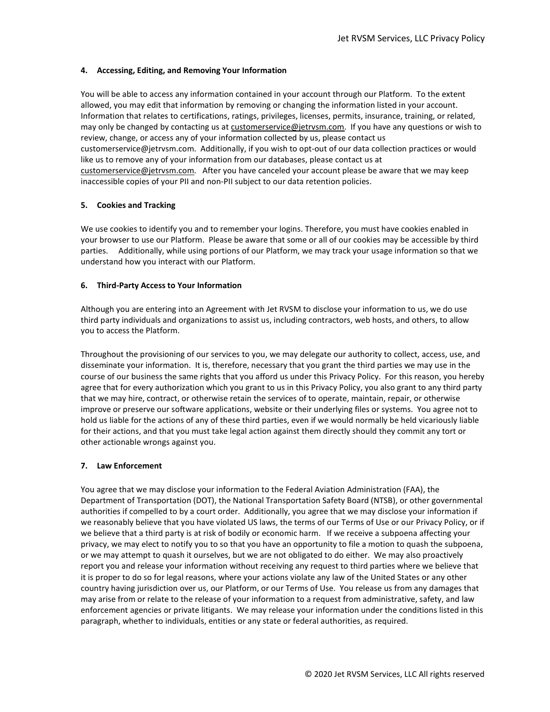### 4. Accessing, Editing, and Removing Your Information

You will be able to access any information contained in your account through our Platform. To the extent allowed, you may edit that information by removing or changing the information listed in your account. Information that relates to certifications, ratings, privileges, licenses, permits, insurance, training, or related, may only be changed by contacting us at customerservice@jetrvsm.com. If you have any questions or wish to review, change, or access any of your information collected by us, please contact us customerservice@jetrvsm.com. Additionally, if you wish to opt-out of our data collection practices or would like us to remove any of your information from our databases, please contact us at customerservice@jetrvsm.com. After you have canceled your account please be aware that we may keep inaccessible copies of your PII and non-PII subject to our data retention policies.

# 5. Cookies and Tracking

We use cookies to identify you and to remember your logins. Therefore, you must have cookies enabled in your browser to use our Platform. Please be aware that some or all of our cookies may be accessible by third parties. Additionally, while using portions of our Platform, we may track your usage information so that we understand how you interact with our Platform.

### 6. Third-Party Access to Your Information

Although you are entering into an Agreement with Jet RVSM to disclose your information to us, we do use third party individuals and organizations to assist us, including contractors, web hosts, and others, to allow you to access the Platform.

Throughout the provisioning of our services to you, we may delegate our authority to collect, access, use, and disseminate your information. It is, therefore, necessary that you grant the third parties we may use in the course of our business the same rights that you afford us under this Privacy Policy. For this reason, you hereby agree that for every authorization which you grant to us in this Privacy Policy, you also grant to any third party that we may hire, contract, or otherwise retain the services of to operate, maintain, repair, or otherwise improve or preserve our software applications, website or their underlying files or systems. You agree not to hold us liable for the actions of any of these third parties, even if we would normally be held vicariously liable for their actions, and that you must take legal action against them directly should they commit any tort or other actionable wrongs against you.

#### 7. Law Enforcement

You agree that we may disclose your information to the Federal Aviation Administration (FAA), the Department of Transportation (DOT), the National Transportation Safety Board (NTSB), or other governmental authorities if compelled to by a court order. Additionally, you agree that we may disclose your information if we reasonably believe that you have violated US laws, the terms of our Terms of Use or our Privacy Policy, or if we believe that a third party is at risk of bodily or economic harm. If we receive a subpoena affecting your privacy, we may elect to notify you to so that you have an opportunity to file a motion to quash the subpoena, or we may attempt to quash it ourselves, but we are not obligated to do either. We may also proactively report you and release your information without receiving any request to third parties where we believe that it is proper to do so for legal reasons, where your actions violate any law of the United States or any other country having jurisdiction over us, our Platform, or our Terms of Use. You release us from any damages that may arise from or relate to the release of your information to a request from administrative, safety, and law enforcement agencies or private litigants. We may release your information under the conditions listed in this paragraph, whether to individuals, entities or any state or federal authorities, as required.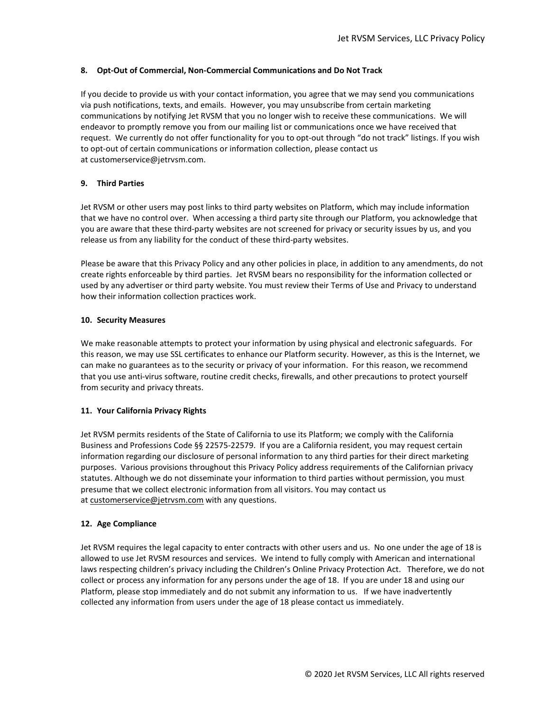## 8. Opt-Out of Commercial, Non-Commercial Communications and Do Not Track

If you decide to provide us with your contact information, you agree that we may send you communications via push notifications, texts, and emails. However, you may unsubscribe from certain marketing communications by notifying Jet RVSM that you no longer wish to receive these communications. We will endeavor to promptly remove you from our mailing list or communications once we have received that request. We currently do not offer functionality for you to opt-out through "do not track" listings. If you wish to opt-out of certain communications or information collection, please contact us at customerservice@jetrvsm.com.

### 9. Third Parties

Jet RVSM or other users may post links to third party websites on Platform, which may include information that we have no control over. When accessing a third party site through our Platform, you acknowledge that you are aware that these third-party websites are not screened for privacy or security issues by us, and you release us from any liability for the conduct of these third-party websites.

Please be aware that this Privacy Policy and any other policies in place, in addition to any amendments, do not create rights enforceable by third parties. Jet RVSM bears no responsibility for the information collected or used by any advertiser or third party website. You must review their Terms of Use and Privacy to understand how their information collection practices work.

### 10. Security Measures

We make reasonable attempts to protect your information by using physical and electronic safeguards. For this reason, we may use SSL certificates to enhance our Platform security. However, as this is the Internet, we can make no guarantees as to the security or privacy of your information. For this reason, we recommend that you use anti-virus software, routine credit checks, firewalls, and other precautions to protect yourself from security and privacy threats.

# 11. Your California Privacy Rights

Jet RVSM permits residents of the State of California to use its Platform; we comply with the California Business and Professions Code §§ 22575-22579. If you are a California resident, you may request certain information regarding our disclosure of personal information to any third parties for their direct marketing purposes. Various provisions throughout this Privacy Policy address requirements of the Californian privacy statutes. Although we do not disseminate your information to third parties without permission, you must presume that we collect electronic information from all visitors. You may contact us at customerservice@jetrvsm.com with any questions.

#### 12. Age Compliance

Jet RVSM requires the legal capacity to enter contracts with other users and us. No one under the age of 18 is allowed to use Jet RVSM resources and services. We intend to fully comply with American and international laws respecting children's privacy including the Children's Online Privacy Protection Act. Therefore, we do not collect or process any information for any persons under the age of 18. If you are under 18 and using our Platform, please stop immediately and do not submit any information to us. If we have inadvertently collected any information from users under the age of 18 please contact us immediately.